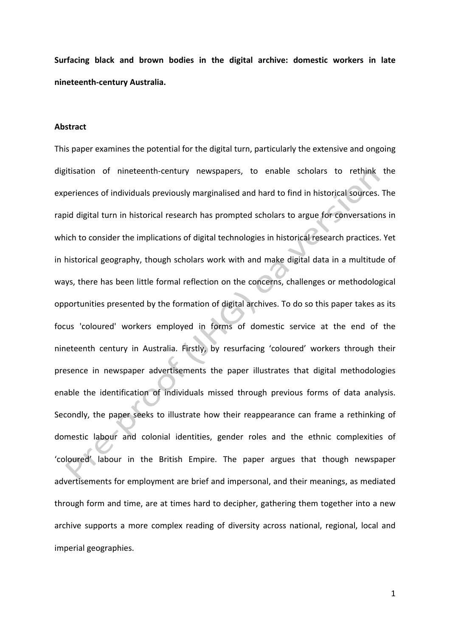**Surfacing black and brown bodies in the digital archive: domestic workers in late nineteenth-century Australia.**

#### **Abstract**

This paper examines the potential for the digital turn, particularly the extensive and ongoing digitisation of nineteenth-century newspapers, to enable scholars to rethink the experiences of individuals previously marginalised and hard to find in historical sources. The rapid digital turn in historical research has prompted scholars to argue for conversations in which to consider the implications of digital technologies in historical research practices. Yet in historical geography, though scholars work with and make digital data in a multitude of ways, there has been little formal reflection on the concerns, challenges or methodological opportunities presented by the formation of digital archives. To do so this paper takes as its focus 'coloured' workers employed in forms of domestic service at the end of the nineteenth century in Australia. Firstly, by resurfacing 'coloured' workers through their presence in newspaper advertisements the paper illustrates that digital methodologies enable the identification of individuals missed through previous forms of data analysis. Secondly, the paper seeks to illustrate how their reappearance can frame a rethinking of domestic labour and colonial identities, gender roles and the ethnic complexities of 'coloured' labour in the British Empire. The paper argues that though newspaper advertisements for employment are brief and impersonal, and their meanings, as mediated through form and time, are at times hard to decipher, gathering them together into a new archive supports a more complex reading of diversity across national, regional, local and imperial geographies.

1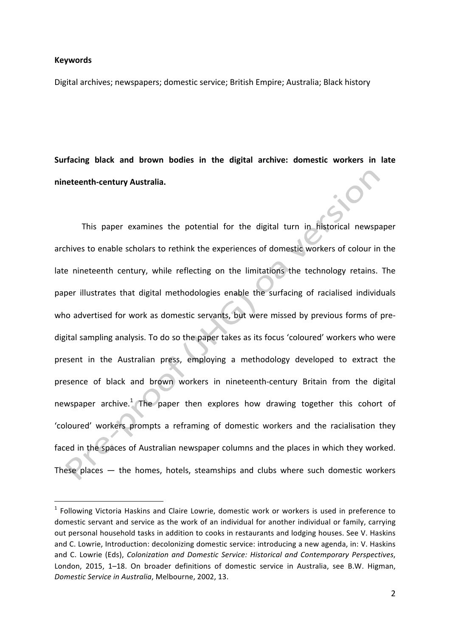#### **Keywords**

Digital archives; newspapers; domestic service; British Empire; Australia; Black history

Surfacing black and brown bodies in the digital archive: domestic workers in late **nineteenth-century Australia.**

This paper examines the potential for the digital turn in historical newspaper archives to enable scholars to rethink the experiences of domestic workers of colour in the late nineteenth century, while reflecting on the limitations the technology retains. The paper illustrates that digital methodologies enable the surfacing of racialised individuals who advertised for work as domestic servants, but were missed by previous forms of predigital sampling analysis. To do so the paper takes as its focus 'coloured' workers who were present in the Australian press, employing a methodology developed to extract the presence of black and brown workers in nineteenth-century Britain from the digital newspaper archive.<sup>1</sup> The paper then explores how drawing together this cohort of 'coloured' workers prompts a reframing of domestic workers and the racialisation they faced in the spaces of Australian newspaper columns and the places in which they worked. These places  $-$  the homes, hotels, steamships and clubs where such domestic workers

 $1$  Following Victoria Haskins and Claire Lowrie, domestic work or workers is used in preference to domestic servant and service as the work of an individual for another individual or family, carrying out personal household tasks in addition to cooks in restaurants and lodging houses. See V. Haskins and C. Lowrie, Introduction: decolonizing domestic service: introducing a new agenda, in: V. Haskins and C. Lowrie (Eds), *Colonization and Domestic Service: Historical and Contemporary Perspectives*, London, 2015, 1-18. On broader definitions of domestic service in Australia, see B.W. Higman, *Domestic Service in Australia*, Melbourne, 2002, 13.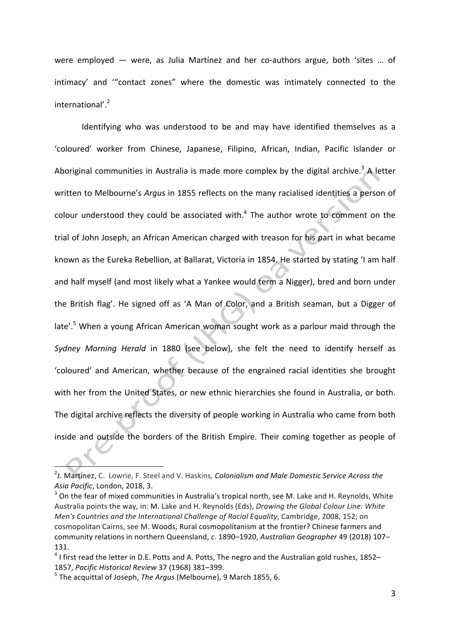were employed — were, as Julia Martínez and her co-authors argue, both 'sites ... of intimacy' and "contact zones" where the domestic was intimately connected to the international'.<sup>2</sup>

Identifying who was understood to be and may have identified themselves as a 'coloured' worker from Chinese, Japanese, Filipino, African, Indian, Pacific Islander or Aboriginal communities in Australia is made more complex by the digital archive.<sup>3</sup> A letter written to Melbourne's Argus in 1855 reflects on the many racialised identities a person of colour understood they could be associated with. $4$  The author wrote to comment on the trial of John Joseph, an African American charged with treason for his part in what became known as the Eureka Rebellion, at Ballarat, Victoria in 1854. He started by stating 'I am half and half myself (and most likely what a Yankee would term a Nigger), bred and born under the British flag'. He signed off as 'A Man of Color, and a British seaman, but a Digger of late'. $5$  When a young African American woman sought work as a parlour maid through the Sydney Morning Herald in 1880 (see below), she felt the need to identify herself as 'coloured' and American, whether because of the engrained racial identities she brought with her from the United States, or new ethnic hierarchies she found in Australia, or both. The digital archive reflects the diversity of people working in Australia who came from both inside and outside the borders of the British Empire. Their coming together as people of

<sup>&</sup>lt;sup>2</sup>J. Martínez, C. Lowrie, F. Steel and V. Haskins*, Colonialism and Male Domestic Service Across the* Asia Pacific, London, 2018, 3.

 $3$  On the fear of mixed communities in Australia's tropical north, see M. Lake and H. Reynolds, White Australia points the way, in: M. Lake and H. Reynolds (Eds), *Drawing the Global Colour Line: White Men's Countries and the International Challenge of Racial Equality*, Cambridge, 2008, 152; on cosmopolitan Cairns, see M. Woods, Rural cosmopolitanism at the frontier? Chinese farmers and community relations in northern Queensland, c. 1890–1920, *Australian Geographer* 49 (2018) 107– 131. 

 $4$  I first read the letter in D.E. Potts and A. Potts, The negro and the Australian gold rushes, 1852– 1857, *Pacific Historical Review* 37 (1968) 381–399. 

<sup>&</sup>lt;sup>5</sup> The acquittal of Joseph, *The Argus* (Melbourne), 9 March 1855, 6.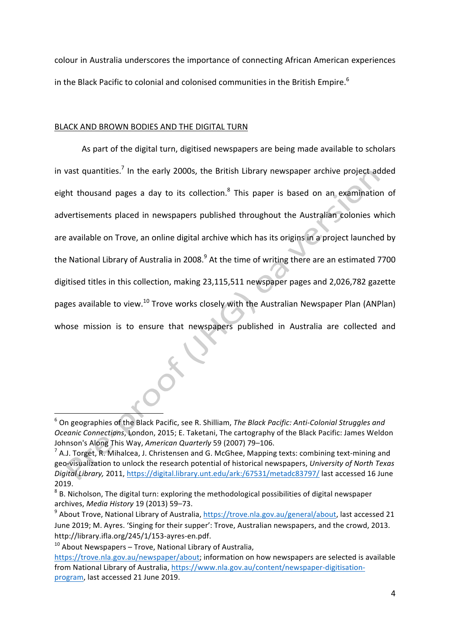colour in Australia underscores the importance of connecting African American experiences in the Black Pacific to colonial and colonised communities in the British Empire.<sup>6</sup>

### BLACK AND BROWN BODIES AND THE DIGITAL TURN

As part of the digital turn, digitised newspapers are being made available to scholars in vast quantities.<sup>7</sup> In the early 2000s, the British Library newspaper archive project added eight thousand pages a day to its collection.<sup>8</sup> This paper is based on an examination of advertisements placed in newspapers published throughout the Australian colonies which are available on Trove, an online digital archive which has its origins in a project launched by the National Library of Australia in 2008. $9$  At the time of writing there are an estimated 7700 digitised titles in this collection, making 23,115,511 newspaper pages and 2,026,782 gazette pages available to view.<sup>10</sup> Trove works closely with the Australian Newspaper Plan (ANPlan) whose mission is to ensure that newspapers published in Australia are collected and

<sup>&</sup>lt;sup>6</sup> On geographies of the Black Pacific, see R. Shilliam, The Black Pacific: Anti-Colonial Struggles and *Oceanic Connections*, London, 2015; E. Taketani, The cartography of the Black Pacific: James Weldon Johnson's Along This Way, *American Quarterly* 59 (2007) 79-106.

 $^7$  A.J. Torget, R. Mihalcea, J. Christensen and G. McGhee, Mapping texts: combining text-mining and geo-visualization to unlock the research potential of historical newspapers, *University of North Texas* Digital Library, 2011, https://digital.library.unt.edu/ark:/67531/metadc83797/ last accessed 16 June 2019.

 $8$  B. Nicholson, The digital turn: exploring the methodological possibilities of digital newspaper archives, *Media History* 19 (2013) 59–73.

 $9$  About Trove, National Library of Australia, https://trove.nla.gov.au/general/about, last accessed 21 June 2019; M. Ayres. 'Singing for their supper': Trove, Australian newspapers, and the crowd, 2013. http://library.ifla.org/245/1/153-ayres-en.pdf.

 $10$  About Newspapers – Trove, National Library of Australia,

https://trove.nla.gov.au/newspaper/about; information on how newspapers are selected is available from National Library of Australia, https://www.nla.gov.au/content/newspaper-digitisationprogram, last accessed 21 June 2019.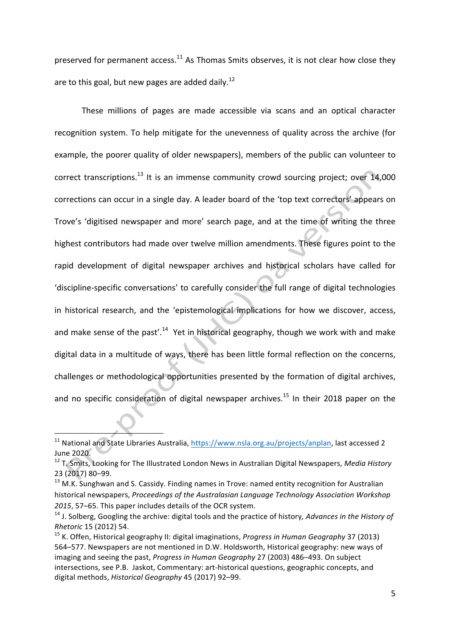preserved for permanent  $access.^{11}$  As Thomas Smits observes, it is not clear how close they are to this goal, but new pages are added daily.<sup>12</sup>

These millions of pages are made accessible via scans and an optical character recognition system. To help mitigate for the unevenness of quality across the archive (for example, the poorer quality of older newspapers), members of the public can volunteer to correct transcriptions.<sup>13</sup> It is an immense community crowd sourcing project; over 14,000 corrections can occur in a single day. A leader board of the 'top text correctors' appears on Trove's 'digitised newspaper and more' search page, and at the time of writing the three highest contributors had made over twelve million amendments. These figures point to the rapid development of digital newspaper archives and historical scholars have called for 'discipline-specific conversations' to carefully consider the full range of digital technologies in historical research, and the 'epistemological implications for how we discover, access, and make sense of the past'.<sup>14</sup> Yet in historical geography, though we work with and make digital data in a multitude of ways, there has been little formal reflection on the concerns, challenges or methodological opportunities presented by the formation of digital archives, and no specific consideration of digital newspaper archives.<sup>15</sup> In their 2018 paper on the

<sup>&</sup>lt;sup>11</sup> National and State Libraries Australia, https://www.nsla.org.au/projects/anplan, last accessed 2 June 2020.

<sup>&</sup>lt;sup>12</sup> T. Smits, Looking for The Illustrated London News in Australian Digital Newspapers, *Media History* 23 (2017) 80–99.

<sup>&</sup>lt;sup>13</sup> M.K. Sunghwan and S. Cassidy. Finding names in Trove: named entity recognition for Australian historical newspapers, Proceedings of the Australasian Language Technology Association Workshop 2015, 57-65. This paper includes details of the OCR system.

<sup>&</sup>lt;sup>14</sup> J. Solberg, Googling the archive: digital tools and the practice of history, Advances in the History of *Rhetoric* 15 (2012) 54.

<sup>&</sup>lt;sup>15</sup> K. Offen, Historical geography II: digital imaginations, *Progress in Human Geography* 37 (2013) 564–577. Newspapers are not mentioned in D.W. Holdsworth, Historical geography: new ways of imaging and seeing the past, *Progress in Human Geography* 27 (2003) 486–493. On subject intersections, see P.B. Jaskot, Commentary: art-historical questions, geographic concepts, and digital methods, *Historical Geography* 45 (2017) 92-99.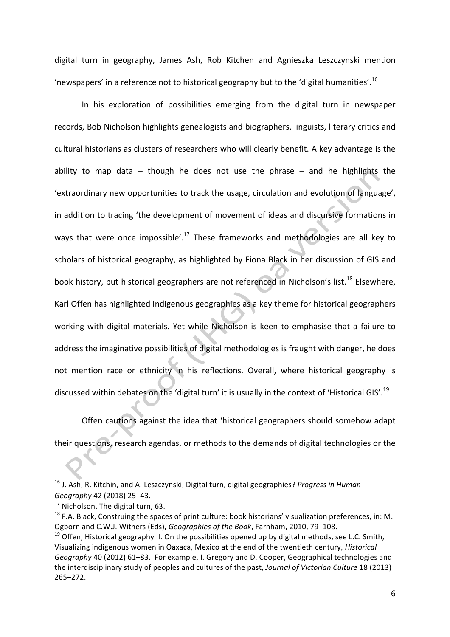digital turn in geography, James Ash, Rob Kitchen and Agnieszka Leszczynski mention 'newspapers' in a reference not to historical geography but to the 'digital humanities'.<sup>16</sup>

In his exploration of possibilities emerging from the digital turn in newspaper records, Bob Nicholson highlights genealogists and biographers, linguists, literary critics and cultural historians as clusters of researchers who will clearly benefit. A key advantage is the ability to map data – though he does not use the phrase – and he highlights the 'extraordinary new opportunities to track the usage, circulation and evolution of language', in addition to tracing 'the development of movement of ideas and discursive formations in ways that were once impossible'.<sup>17</sup> These frameworks and methodologies are all key to scholars of historical geography, as highlighted by Fiona Black in her discussion of GIS and book history, but historical geographers are not referenced in Nicholson's list.<sup>18</sup> Elsewhere, Karl Offen has highlighted Indigenous geographies as a key theme for historical geographers working with digital materials. Yet while Nicholson is keen to emphasise that a failure to address the imaginative possibilities of digital methodologies is fraught with danger, he does not mention race or ethnicity in his reflections. Overall, where historical geography is discussed within debates on the 'digital turn' it is usually in the context of 'Historical GIS'.<sup>19</sup>

Offen cautions against the idea that 'historical geographers should somehow adapt their questions, research agendas, or methods to the demands of digital technologies or the

 $\overline{\phantom{a}}$  , and the set of  $\overline{\phantom{a}}$ 

<sup>&</sup>lt;sup>16</sup> J. Ash, R. Kitchin, and A. Leszczynski, Digital turn, digital geographies? *Progress in Human Geography* 42 (2018) 25–43.

 $17$  Nicholson, The digital turn, 63.

 $18$  F.A. Black, Construing the spaces of print culture: book historians' visualization preferences, in: M. Ogborn and C.W.J. Withers (Eds), *Geographies of the Book*, Farnham, 2010, 79–108.

 $19$  Offen, Historical geography II. On the possibilities opened up by digital methods, see L.C. Smith, Visualizing indigenous women in Oaxaca, Mexico at the end of the twentieth century, *Historical Geography* 40 (2012) 61–83. For example, I. Gregory and D. Cooper, Geographical technologies and the interdisciplinary study of peoples and cultures of the past, *Journal of Victorian Culture* 18 (2013) 265–272.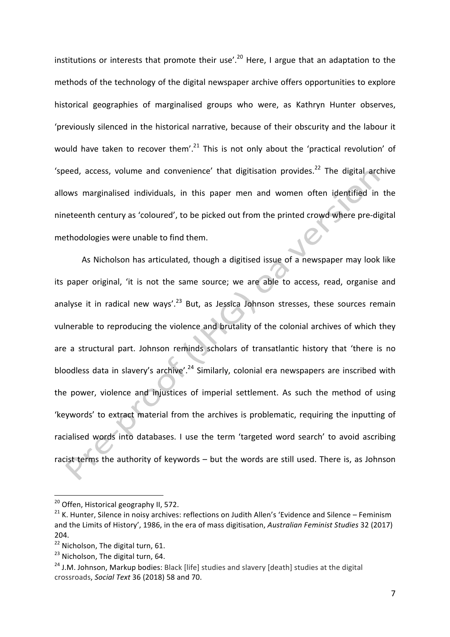institutions or interests that promote their use'.<sup>20</sup> Here, I argue that an adaptation to the methods of the technology of the digital newspaper archive offers opportunities to explore historical geographies of marginalised groups who were, as Kathryn Hunter observes, 'previously silenced in the historical narrative, because of their obscurity and the labour it would have taken to recover them'.<sup>21</sup> This is not only about the 'practical revolution' of 'speed, access, volume and convenience' that digitisation provides.<sup>22</sup> The digital archive allows marginalised individuals, in this paper men and women often identified in the nineteenth century as 'coloured', to be picked out from the printed crowd where pre-digital methodologies were unable to find them.

As Nicholson has articulated, though a digitised issue of a newspaper may look like its paper original, 'it is not the same source; we are able to access, read, organise and analyse it in radical new ways'.<sup>23</sup> But, as Jessica Johnson stresses, these sources remain vulnerable to reproducing the violence and brutality of the colonial archives of which they are a structural part. Johnson reminds scholars of transatlantic history that 'there is no bloodless data in slavery's archive'.<sup>24</sup> Similarly, colonial era newspapers are inscribed with the power, violence and injustices of imperial settlement. As such the method of using 'keywords' to extract material from the archives is problematic, requiring the inputting of racialised words into databases. I use the term 'targeted word search' to avoid ascribing racist terms the authority of keywords – but the words are still used. There is, as Johnson

<sup>&</sup>lt;sup>20</sup> Offen, Historical geography II, 572.

 $21$  K. Hunter, Silence in noisy archives: reflections on Judith Allen's 'Evidence and Silence – Feminism and the Limits of History', 1986, in the era of mass digitisation, *Australian Feminist Studies* 32 (2017) 204.

 $22$  Nicholson, The digital turn, 61.

 $23$  Nicholson, The digital turn, 64.

<sup>&</sup>lt;sup>24</sup> J.M. Johnson, Markup bodies: Black [life] studies and slavery [death] studies at the digital crossroads, *Social Text* 36 (2018) 58 and 70.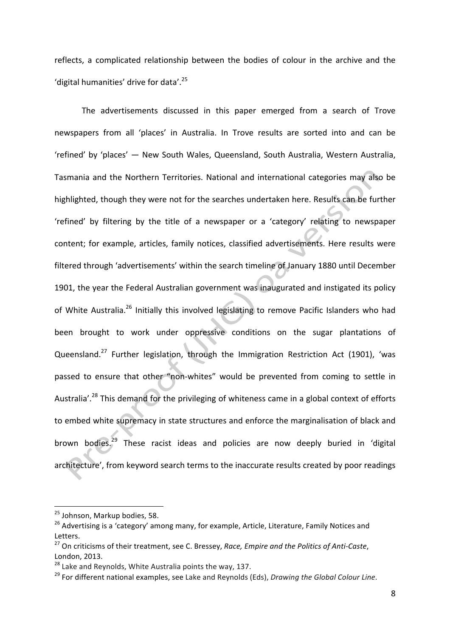reflects, a complicated relationship between the bodies of colour in the archive and the 'digital humanities' drive for data'.<sup>25</sup>

The advertisements discussed in this paper emerged from a search of Trove newspapers from all 'places' in Australia. In Trove results are sorted into and can be 'refined' by 'places' — New South Wales, Queensland, South Australia, Western Australia, Tasmania and the Northern Territories. National and international categories may also be highlighted, though they were not for the searches undertaken here. Results can be further 'refined' by filtering by the title of a newspaper or a 'category' relating to newspaper content; for example, articles, family notices, classified advertisements. Here results were filtered through 'advertisements' within the search timeline of January 1880 until December 1901, the year the Federal Australian government was inaugurated and instigated its policy of White Australia.<sup>26</sup> Initially this involved legislating to remove Pacific Islanders who had been brought to work under oppressive conditions on the sugar plantations of Queensland.<sup>27</sup> Further legislation, through the Immigration Restriction Act (1901), 'was passed to ensure that other "non-whites" would be prevented from coming to settle in Australia'.<sup>28</sup> This demand for the privileging of whiteness came in a global context of efforts to embed white supremacy in state structures and enforce the marginalisation of black and brown bodies. $29$  These racist ideas and policies are now deeply buried in 'digital architecture', from keyword search terms to the inaccurate results created by poor readings

<sup>&</sup>lt;u> 1989 - Johann Barn, mars ann an t-Amhain an t-Amhain an t-Amhain an t-Amhain an t-Amhain an t-Amhain an t-Amh</u> <sup>25</sup> Johnson, Markup bodies, 58.

<sup>&</sup>lt;sup>26</sup> Advertising is a 'category' among many, for example, Article, Literature, Family Notices and Letters. 

<sup>&</sup>lt;sup>27</sup> On criticisms of their treatment, see C. Bressey, *Race, Empire and the Politics of Anti-Caste*, London, 2013.

 $28$  Lake and Reynolds, White Australia points the way, 137.

<sup>&</sup>lt;sup>29</sup> For different national examples, see Lake and Reynolds (Eds), *Drawing the Global Colour Line*.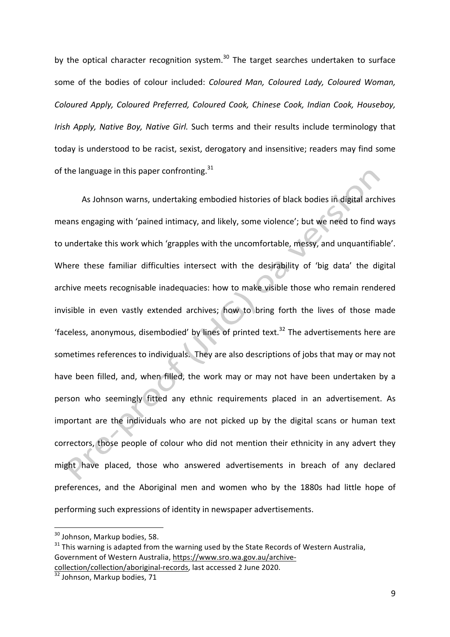by the optical character recognition system.<sup>30</sup> The target searches undertaken to surface some of the bodies of colour included: *Coloured Man, Coloured Lady, Coloured Woman, Coloured Apply, Coloured Preferred, Coloured Cook, Chinese Cook, Indian Cook, Houseboy, Irish Apply, Native Boy, Native Girl.* Such terms and their results include terminology that today is understood to be racist, sexist, derogatory and insensitive; readers may find some of the language in this paper confronting.<sup>31</sup>

As Johnson warns, undertaking embodied histories of black bodies in digital archives means engaging with 'pained intimacy, and likely, some violence'; but we need to find ways to undertake this work which 'grapples with the uncomfortable, messy, and unquantifiable'. Where these familiar difficulties intersect with the desirability of 'big data' the digital archive meets recognisable inadequacies: how to make visible those who remain rendered invisible in even vastly extended archives; how to bring forth the lives of those made 'faceless, anonymous, disembodied' by lines of printed text.<sup>32</sup> The advertisements here are sometimes references to individuals. They are also descriptions of jobs that may or may not have been filled, and, when filled, the work may or may not have been undertaken by a person who seemingly fitted any ethnic requirements placed in an advertisement. As important are the individuals who are not picked up by the digital scans or human text correctors, those people of colour who did not mention their ethnicity in any advert they might have placed, those who answered advertisements in breach of any declared preferences, and the Aboriginal men and women who by the 1880s had little hope of performing such expressions of identity in newspaper advertisements.

<sup>&</sup>lt;u> 1989 - Johann Barn, mars ann an t-Amhain an t-Amhain an t-Amhain an t-Amhain an t-Amhain an t-Amhain an t-Amh</u>  $30$  Johnson, Markup bodies, 58.

 $31$  This warning is adapted from the warning used by the State Records of Western Australia, Government of Western Australia, https://www.sro.wa.gov.au/archivecollection/collection/aboriginal-records, last accessed 2 June 2020.

 $\frac{32}{32}$  Johnson, Markup bodies, 71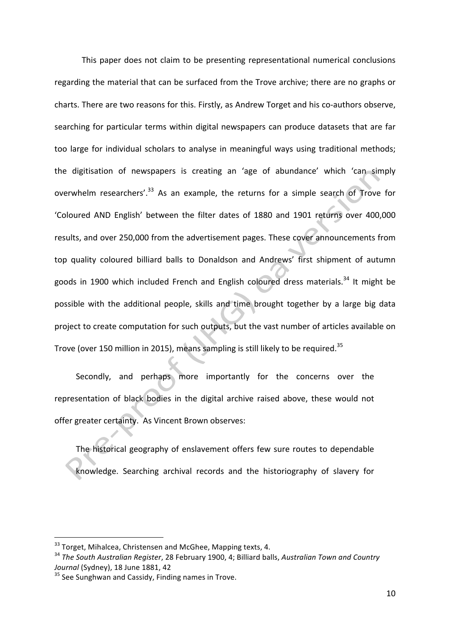This paper does not claim to be presenting representational numerical conclusions regarding the material that can be surfaced from the Trove archive; there are no graphs or charts. There are two reasons for this. Firstly, as Andrew Torget and his co-authors observe, searching for particular terms within digital newspapers can produce datasets that are far too large for individual scholars to analyse in meaningful ways using traditional methods; the digitisation of newspapers is creating an 'age of abundance' which 'can simply overwhelm researchers'.<sup>33</sup> As an example, the returns for a simple search of Trove for 'Coloured AND English' between the filter dates of 1880 and 1901 returns over 400,000 results, and over 250,000 from the advertisement pages. These cover announcements from top quality coloured billiard balls to Donaldson and Andrews' first shipment of autumn goods in 1900 which included French and English coloured dress materials.<sup>34</sup> It might be possible with the additional people, skills and time brought together by a large big data project to create computation for such outputs, but the vast number of articles available on Trove (over 150 million in 2015), means sampling is still likely to be required.<sup>35</sup>

Secondly, and perhaps more importantly for the concerns over the representation of black bodies in the digital archive raised above, these would not offer greater certainty. As Vincent Brown observes:

The historical geography of enslavement offers few sure routes to dependable knowledge. Searching archival records and the historiography of slavery for

<u> 1989 - Johann Barn, mars eta bainar eta industrial eta baina eta baina eta baina eta baina eta baina eta bain</u>

 $33$  Torget, Mihalcea, Christensen and McGhee, Mapping texts, 4.

<sup>&</sup>lt;sup>34</sup> The South Australian Register, 28 February 1900, 4; Billiard balls, Australian Town and Country *Journal* (Sydney), 18 June 1881, 42

 $35$  See Sunghwan and Cassidy, Finding names in Trove.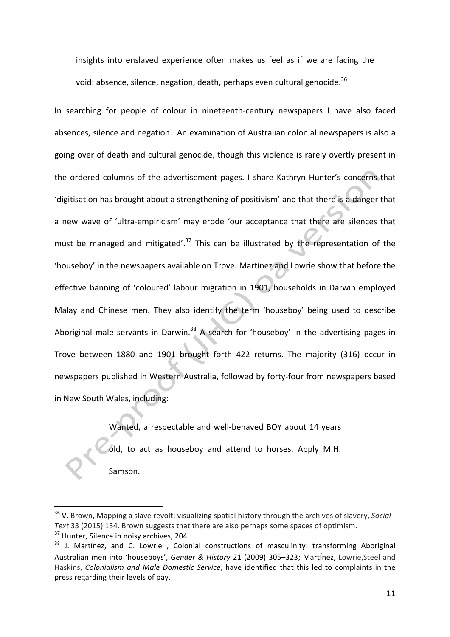insights into enslaved experience often makes us feel as if we are facing the void: absence, silence, negation, death, perhaps even cultural genocide.<sup>36</sup>

In searching for people of colour in nineteenth-century newspapers I have also faced absences, silence and negation. An examination of Australian colonial newspapers is also a going over of death and cultural genocide, though this violence is rarely overtly present in the ordered columns of the advertisement pages. I share Kathryn Hunter's concerns that 'digitisation has brought about a strengthening of positivism' and that there is a danger that a new wave of 'ultra-empiricism' may erode 'our acceptance that there are silences that must be managed and mitigated'.<sup>37</sup> This can be illustrated by the representation of the 'houseboy' in the newspapers available on Trove. Martínez and Lowrie show that before the effective banning of 'coloured' labour migration in 1901, households in Darwin employed Malay and Chinese men. They also identify the term 'houseboy' being used to describe Aboriginal male servants in Darwin.<sup>38</sup> A search for 'houseboy' in the advertising pages in Trove between 1880 and 1901 brought forth 422 returns. The majority (316) occur in newspapers published in Western Australia, followed by forty-four from newspapers based in New South Wales, including:

> Wanted, a respectable and well-behaved BOY about 14 years old, to act as houseboy and attend to horses. Apply M.H. Samson.

<sup>&</sup>lt;sup>36</sup> V. Brown, Mapping a slave revolt: visualizing spatial history through the archives of slavery, *Social* Text 33 (2015) 134. Brown suggests that there are also perhaps some spaces of optimism.  $37$  Hunter, Silence in noisy archives, 204.

<sup>&</sup>lt;sup>38</sup> J. Martínez, and C. Lowrie, Colonial constructions of masculinity: transforming Aboriginal Australian men into 'houseboys', *Gender & History* 21 (2009) 305–323; Martínez, Lowrie, Steel and Haskins, *Colonialism and Male Domestic Service*, have identified that this led to complaints in the press regarding their levels of pay.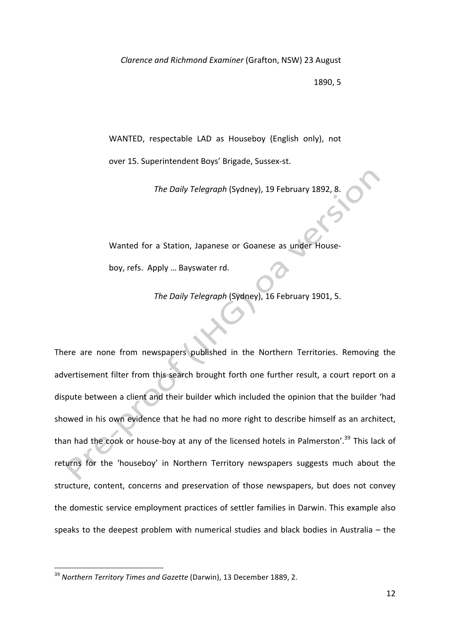*Clarence and Richmond Examiner* (Grafton, NSW) 23 August 

1890, 5

WANTED, respectable LAD as Houseboy (English only), not over 15. Superintendent Boys' Brigade, Sussex-st.

The Daily Telegraph (Sydney), 19 February 1892, 8.

Wanted for a Station, Japanese or Goanese as under Houseboy, refs. Apply ... Bayswater rd.

The Daily Telegraph (Sydney), 16 February 1901, 5.

There are none from newspapers published in the Northern Territories. Removing the advertisement filter from this search brought forth one further result, a court report on a dispute between a client and their builder which included the opinion that the builder 'had showed in his own evidence that he had no more right to describe himself as an architect, than had the cook or house-boy at any of the licensed hotels in Palmerston'.<sup>39</sup> This lack of returns for the 'houseboy' in Northern Territory newspapers suggests much about the structure, content, concerns and preservation of those newspapers, but does not convey the domestic service employment practices of settler families in Darwin. This example also speaks to the deepest problem with numerical studies and black bodies in Australia  $-$  the

<sup>&</sup>lt;sup>39</sup> Northern Territory Times and Gazette (Darwin), 13 December 1889, 2.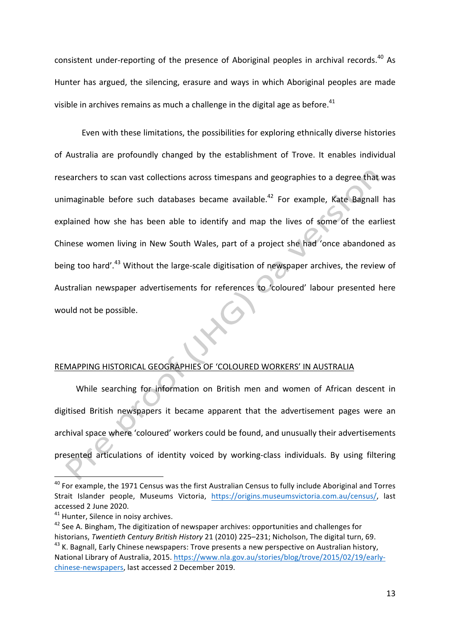consistent under-reporting of the presence of Aboriginal peoples in archival records.<sup>40</sup> As Hunter has argued, the silencing, erasure and ways in which Aboriginal peoples are made visible in archives remains as much a challenge in the digital age as before.<sup>41</sup>

Even with these limitations, the possibilities for exploring ethnically diverse histories of Australia are profoundly changed by the establishment of Trove. It enables individual researchers to scan vast collections across timespans and geographies to a degree that was unimaginable before such databases became available.<sup>42</sup> For example, Kate Bagnall has explained how she has been able to identify and map the lives of some of the earliest Chinese women living in New South Wales, part of a project she had 'once abandoned as being too hard'.<sup>43</sup> Without the large-scale digitisation of newspaper archives, the review of Australian newspaper advertisements for references to 'coloured' labour presented here would not be possible.

## REMAPPING HISTORICAL GEOGRAPHIES OF 'COLOURED WORKERS' IN AUSTRALIA

While searching for information on British men and women of African descent in digitised British newspapers it became apparent that the advertisement pages were an archival space where 'coloured' workers could be found, and unusually their advertisements presented articulations of identity voiced by working-class individuals. By using filtering

 $40$  For example, the 1971 Census was the first Australian Census to fully include Aboriginal and Torres Strait Islander people, Museums Victoria, https://origins.museumsvictoria.com.au/census/, last accessed 2 June 2020.

 $41$  Hunter, Silence in noisy archives.

 $42$  See A. Bingham, The digitization of newspaper archives: opportunities and challenges for historians, *Twentieth Century British History* 21 (2010) 225–231; Nicholson, The digital turn, 69. <sup>43</sup> K. Bagnall, Early Chinese newspapers: Trove presents a new perspective on Australian history, National Library of Australia, 2015. https://www.nla.gov.au/stories/blog/trove/2015/02/19/earlychinese-newspapers, last accessed 2 December 2019.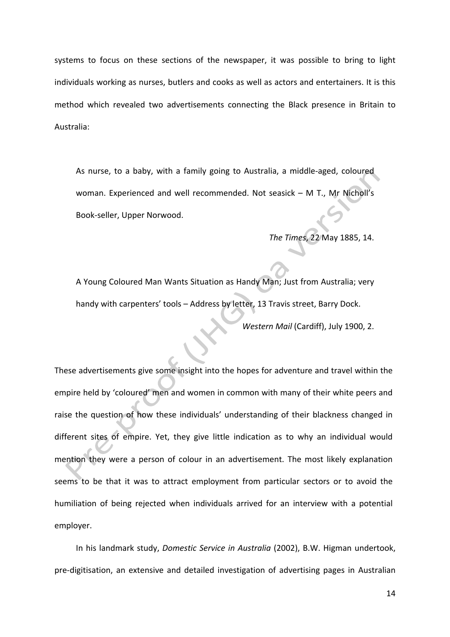systems to focus on these sections of the newspaper, it was possible to bring to light individuals working as nurses, butlers and cooks as well as actors and entertainers. It is this method which revealed two advertisements connecting the Black presence in Britain to Australia: 

As nurse, to a baby, with a family going to Australia, a middle-aged, coloured woman. Experienced and well recommended. Not seasick - M T., Mr Nicholl's Book-seller, Upper Norwood.

*The Times*, 22 May 1885, 14. 

A Young Coloured Man Wants Situation as Handy Man; Just from Australia; very handy with carpenters' tools - Address by letter, 13 Travis street, Barry Dock.

*Western Mail* (Cardiff), July 1900, 2.

These advertisements give some insight into the hopes for adventure and travel within the empire held by 'coloured' men and women in common with many of their white peers and raise the question of how these individuals' understanding of their blackness changed in different sites of empire. Yet, they give little indication as to why an individual would mention they were a person of colour in an advertisement. The most likely explanation seems to be that it was to attract employment from particular sectors or to avoid the humiliation of being rejected when individuals arrived for an interview with a potential employer. 

In his landmark study, *Domestic Service in Australia* (2002), B.W. Higman undertook, pre-digitisation, an extensive and detailed investigation of advertising pages in Australian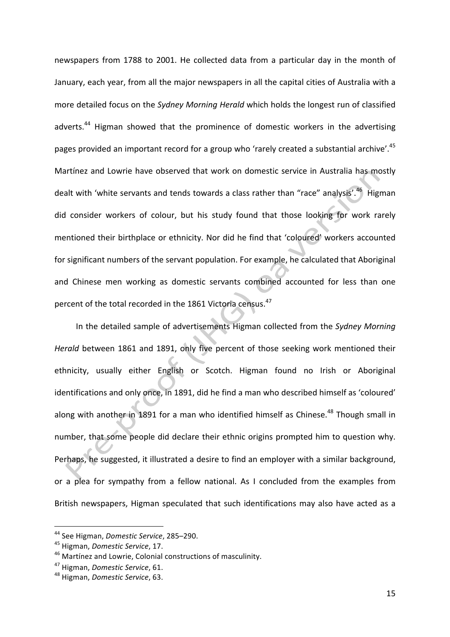newspapers from 1788 to 2001. He collected data from a particular day in the month of January, each year, from all the major newspapers in all the capital cities of Australia with a more detailed focus on the *Sydney Morning Herald* which holds the longest run of classified adverts.<sup>44</sup> Higman showed that the prominence of domestic workers in the advertising pages provided an important record for a group who 'rarely created a substantial archive'.<sup>45</sup> Martínez and Lowrie have observed that work on domestic service in Australia has mostly dealt with 'white servants and tends towards a class rather than "race" analysis'.<sup>46</sup> Higman did consider workers of colour, but his study found that those looking for work rarely mentioned their birthplace or ethnicity. Nor did he find that 'coloured' workers accounted for significant numbers of the servant population. For example, he calculated that Aboriginal and Chinese men working as domestic servants combined accounted for less than one percent of the total recorded in the 1861 Victoria census.<sup>47</sup>

In the detailed sample of advertisements Higman collected from the *Sydney Morning Herald* between 1861 and 1891, only five percent of those seeking work mentioned their ethnicity, usually either English or Scotch. Higman found no Irish or Aboriginal identifications and only once, in 1891, did he find a man who described himself as 'coloured' along with another in 1891 for a man who identified himself as Chinese.<sup>48</sup> Though small in number, that some people did declare their ethnic origins prompted him to question why. Perhaps, he suggested, it illustrated a desire to find an employer with a similar background, or a plea for sympathy from a fellow national. As I concluded from the examples from British newspapers, Higman speculated that such identifications may also have acted as a

<u> 1989 - Johann Barn, mars eta bainar eta industrial eta baina eta baina eta baina eta baina eta baina eta bain</u>

<sup>&</sup>lt;sup>44</sup> See Higman, *Domestic Service*, 285-290.

<sup>&</sup>lt;sup>45</sup> Higman, *Domestic Service*, 17.

<sup>&</sup>lt;sup>46</sup> Martínez and Lowrie, Colonial constructions of masculinity.

<sup>&</sup>lt;sup>47</sup> Higman, *Domestic Service*, 61.

<sup>&</sup>lt;sup>48</sup> Higman, *Domestic Service*, 63.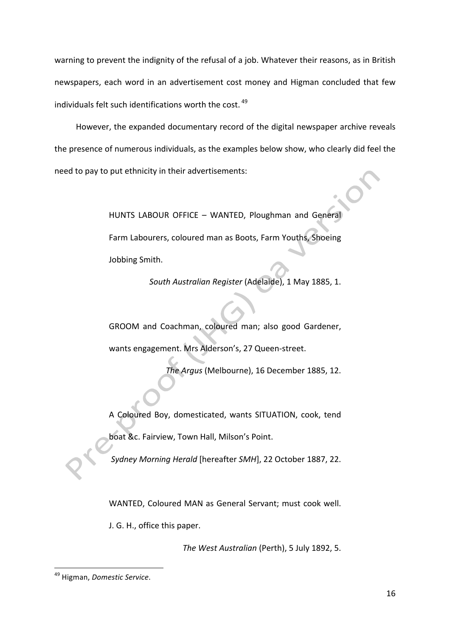warning to prevent the indignity of the refusal of a job. Whatever their reasons, as in British newspapers, each word in an advertisement cost money and Higman concluded that few individuals felt such identifications worth the cost.  $49$ 

However, the expanded documentary record of the digital newspaper archive reveals the presence of numerous individuals, as the examples below show, who clearly did feel the need to pay to put ethnicity in their advertisements:

> HUNTS LABOUR OFFICE - WANTED, Ploughman and General Farm Labourers, coloured man as Boots, Farm Youths, Shoeing Jobbing Smith.

> > South Australian Register (Adelaide), 1 May 1885, 1.

GROOM and Coachman, coloured man; also good Gardener, wants engagement. Mrs Alderson's, 27 Queen-street.

The Argus (Melbourne), 16 December 1885, 12.

A Coloured Boy, domesticated, wants SITUATION, cook, tend boat &c. Fairview, Town Hall, Milson's Point.

Sydney Morning Herald [hereafter *SMH*], 22 October 1887, 22.

WANTED, Coloured MAN as General Servant; must cook well.

J. G. H., office this paper.

The West Australian (Perth), 5 July 1892, 5.

<sup>&</sup>lt;sup>49</sup> Higman, *Domestic Service*.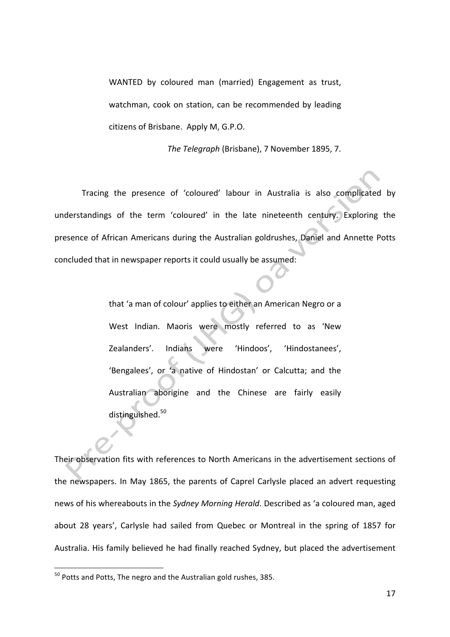WANTED by coloured man (married) Engagement as trust, watchman, cook on station, can be recommended by leading citizens of Brisbane. Apply M, G.P.O.

The Telegraph (Brisbane), 7 November 1895, 7.

Tracing the presence of 'coloured' labour in Australia is also complicated by understandings of the term 'coloured' in the late nineteenth century. Exploring the presence of African Americans during the Australian goldrushes, Daniel and Annette Potts concluded that in newspaper reports it could usually be assumed:

> that 'a man of colour' applies to either an American Negro or a West Indian. Maoris were mostly referred to as 'New Zealanders'. Indians were 'Hindoos', 'Hindostanees', 'Bengalees', or 'a native of Hindostan' or Calcutta; and the Australian aborigine and the Chinese are fairly easily distinguished.<sup>50</sup>

Their observation fits with references to North Americans in the advertisement sections of the newspapers. In May 1865, the parents of Caprel Carlysle placed an advert requesting news of his whereabouts in the *Sydney Morning Herald*. Described as 'a coloured man, aged about 28 years', Carlysle had sailed from Quebec or Montreal in the spring of 1857 for Australia. His family believed he had finally reached Sydney, but placed the advertisement

 $50$  Potts and Potts, The negro and the Australian gold rushes, 385.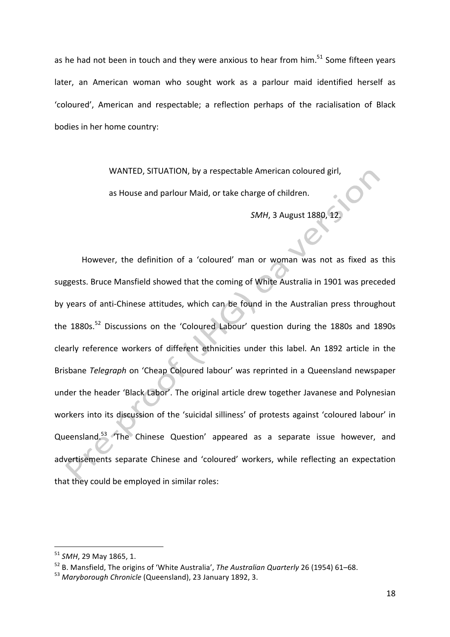as he had not been in touch and they were anxious to hear from him. $^{51}$  Some fifteen years later, an American woman who sought work as a parlour maid identified herself as 'coloured', American and respectable; a reflection perhaps of the racialisation of Black bodies in her home country:

WANTED, SITUATION, by a respectable American coloured girl,

as House and parlour Maid, or take charge of children.

*SMH*, 3 August 1880, 12.

However, the definition of a 'coloured' man or woman was not as fixed as this suggests. Bruce Mansfield showed that the coming of White Australia in 1901 was preceded by years of anti-Chinese attitudes, which can be found in the Australian press throughout the  $1880s$ .<sup>52</sup> Discussions on the 'Coloured Labour' question during the 1880s and 1890s clearly reference workers of different ethnicities under this label. An 1892 article in the Brisbane *Telegraph* on 'Cheap Coloured labour' was reprinted in a Queensland newspaper under the header 'Black Labor'. The original article drew together Javanese and Polynesian workers into its discussion of the 'suicidal silliness' of protests against 'coloured labour' in Queensland.<sup>53</sup> The Chinese Question' appeared as a separate issue however, and advertisements separate Chinese and 'coloured' workers, while reflecting an expectation that they could be employed in similar roles:

<sup>&</sup>lt;sup>51</sup> *SMH*, 29 May 1865, 1.

<sup>&</sup>lt;sup>52</sup> B. Mansfield, The origins of 'White Australia', *The Australian Quarterly* 26 (1954) 61–68.

<sup>&</sup>lt;sup>53</sup> Maryborough Chronicle (Queensland), 23 January 1892, 3.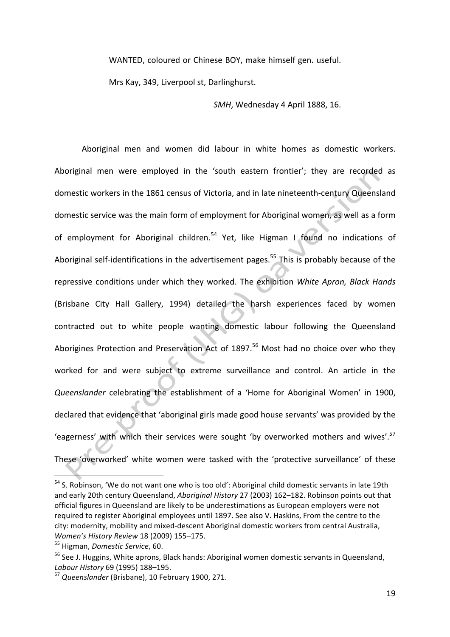WANTED, coloured or Chinese BOY, make himself gen. useful.

Mrs Kay, 349, Liverpool st, Darlinghurst.

**SMH.** Wednesday 4 April 1888, 16.

Aboriginal men and women did labour in white homes as domestic workers. Aboriginal men were employed in the 'south eastern frontier'; they are recorded as domestic workers in the 1861 census of Victoria, and in late nineteenth-century Queensland domestic service was the main form of employment for Aboriginal women, as well as a form of employment for Aboriginal children.<sup>54</sup> Yet, like Higman I found no indications of Aboriginal self-identifications in the advertisement pages.<sup>55</sup> This is probably because of the repressive conditions under which they worked. The exhibition *White Apron, Black Hands* (Brisbane City Hall Gallery, 1994) detailed the harsh experiences faced by women contracted out to white people wanting domestic labour following the Queensland Aborigines Protection and Preservation Act of  $1897$ .<sup>56</sup> Most had no choice over who they worked for and were subject to extreme surveillance and control. An article in the *Queenslander* celebrating the establishment of a 'Home for Aboriginal Women' in 1900, declared that evidence that 'aboriginal girls made good house servants' was provided by the 'eagerness' with which their services were sought 'by overworked mothers and wives'.<sup>57</sup> These 'overworked' white women were tasked with the 'protective surveillance' of these

 $\overline{\phantom{a}}$  , and the set of  $\overline{\phantom{a}}$ 

 $54$  S. Robinson, 'We do not want one who is too old': Aboriginal child domestic servants in late 19th and early 20th century Queensland, *Aboriginal History* 27 (2003) 162-182. Robinson points out that official figures in Queensland are likely to be underestimations as European employers were not required to register Aboriginal employees until 1897. See also V. Haskins, From the centre to the city: modernity, mobility and mixed-descent Aboriginal domestic workers from central Australia, *Women's History Review* 18 (2009) 155–175.

<sup>&</sup>lt;sup>55</sup> Higman, *Domestic Service*, 60.

<sup>&</sup>lt;sup>56</sup> See J. Huggins, White aprons, Black hands: Aboriginal women domestic servants in Queensland, *Labour History* 69 (1995) 188–195. 

<sup>&</sup>lt;sup>57</sup> Queenslander (Brisbane), 10 February 1900, 271.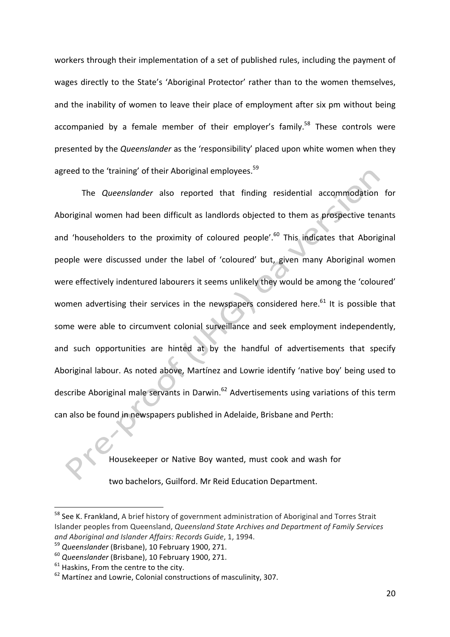workers through their implementation of a set of published rules, including the payment of wages directly to the State's 'Aboriginal Protector' rather than to the women themselves, and the inability of women to leave their place of employment after six pm without being accompanied by a female member of their employer's family.<sup>58</sup> These controls were presented by the *Queenslander* as the 'responsibility' placed upon white women when they agreed to the 'training' of their Aboriginal employees.<sup>59</sup>

The *Queenslander* also reported that finding residential accommodation for Aboriginal women had been difficult as landlords objected to them as prospective tenants and 'householders to the proximity of coloured people'.<sup>60</sup> This indicates that Aboriginal people were discussed under the label of 'coloured' but, given many Aboriginal women were effectively indentured labourers it seems unlikely they would be among the 'coloured' women advertising their services in the newspapers considered here. $61$  It is possible that some were able to circumvent colonial surveillance and seek employment independently, and such opportunities are hinted at by the handful of advertisements that specify Aboriginal labour. As noted above, Martínez and Lowrie identify 'native boy' being used to describe Aboriginal male servants in Darwin.<sup>62</sup> Advertisements using variations of this term can also be found in newspapers published in Adelaide, Brisbane and Perth:

Housekeeper or Native Boy wanted, must cook and wash for

two bachelors, Guilford. Mr Reid Education Department.

<sup>&</sup>lt;sup>58</sup> See K. Frankland, A brief history of government administration of Aboriginal and Torres Strait Islander peoples from Queensland, *Queensland State Archives and Department of Family Services and Aboriginal and Islander Affairs: Records Guide*, 1, 1994.

<sup>&</sup>lt;sup>59</sup> Queenslander (Brisbane), 10 February 1900, 271.

<sup>&</sup>lt;sup>60</sup> Queenslander (Brisbane), 10 February 1900, 271.

 $61$  Haskins, From the centre to the city.

 $62$  Martínez and Lowrie, Colonial constructions of masculinity, 307.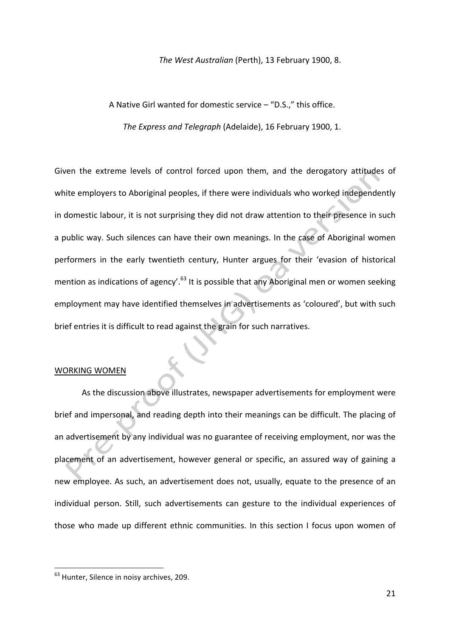#### The West Australian (Perth), 13 February 1900, 8.

A Native Girl wanted for domestic service  $-$  "D.S.," this office.

The Express and Telegraph (Adelaide), 16 February 1900, 1.

Given the extreme levels of control forced upon them, and the derogatory attitudes of white employers to Aboriginal peoples, if there were individuals who worked independently in domestic labour, it is not surprising they did not draw attention to their presence in such a public way. Such silences can have their own meanings. In the case of Aboriginal women performers in the early twentieth century, Hunter argues for their 'evasion of historical mention as indications of agency'.<sup>63</sup> It is possible that any Aboriginal men or women seeking employment may have identified themselves in advertisements as 'coloured', but with such brief entries it is difficult to read against the grain for such narratives.

## WORKING WOMEN

As the discussion above illustrates, newspaper advertisements for employment were brief and impersonal, and reading depth into their meanings can be difficult. The placing of an advertisement by any individual was no guarantee of receiving employment, nor was the placement of an advertisement, however general or specific, an assured way of gaining a new employee. As such, an advertisement does not, usually, equate to the presence of an individual person. Still, such advertisements can gesture to the individual experiences of those who made up different ethnic communities. In this section I focus upon women of

<sup>&</sup>lt;sup>63</sup> Hunter, Silence in noisy archives, 209.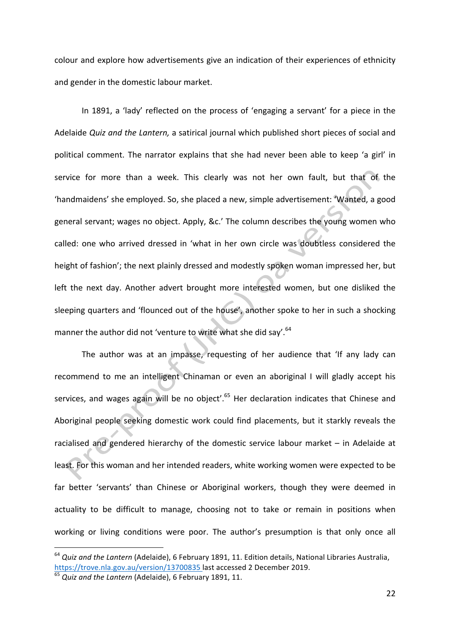colour and explore how advertisements give an indication of their experiences of ethnicity and gender in the domestic labour market.

In 1891, a 'lady' reflected on the process of 'engaging a servant' for a piece in the Adelaide *Quiz and the Lantern,* a satirical journal which published short pieces of social and political comment. The narrator explains that she had never been able to keep 'a girl' in service for more than a week. This clearly was not her own fault, but that of the 'handmaidens' she employed. So, she placed a new, simple advertisement: 'Wanted, a good general servant; wages no object. Apply, &c.' The column describes the young women who called: one who arrived dressed in 'what in her own circle was doubtless considered the height of fashion'; the next plainly dressed and modestly spoken woman impressed her, but left the next day. Another advert brought more interested women, but one disliked the sleeping quarters and 'flounced out of the house', another spoke to her in such a shocking manner the author did not 'venture to write what she did say'.<sup>64</sup>

The author was at an impasse, requesting of her audience that 'If any lady can recommend to me an intelligent Chinaman or even an aboriginal I will gladly accept his services, and wages again will be no object'.<sup>65</sup> Her declaration indicates that Chinese and Aboriginal people seeking domestic work could find placements, but it starkly reveals the racialised and gendered hierarchy of the domestic service labour market – in Adelaide at least. For this woman and her intended readers, white working women were expected to be far better 'servants' than Chinese or Aboriginal workers, though they were deemed in actuality to be difficult to manage, choosing not to take or remain in positions when working or living conditions were poor. The author's presumption is that only once all

<sup>&</sup>lt;sup>64</sup> Quiz and the Lantern (Adelaide), 6 February 1891, 11. Edition details, National Libraries Australia, https://trove.nla.gov.au/version/13700835 last accessed 2 December 2019.

<sup>&</sup>lt;sup>65</sup> Quiz and the Lantern (Adelaide), 6 February 1891, 11.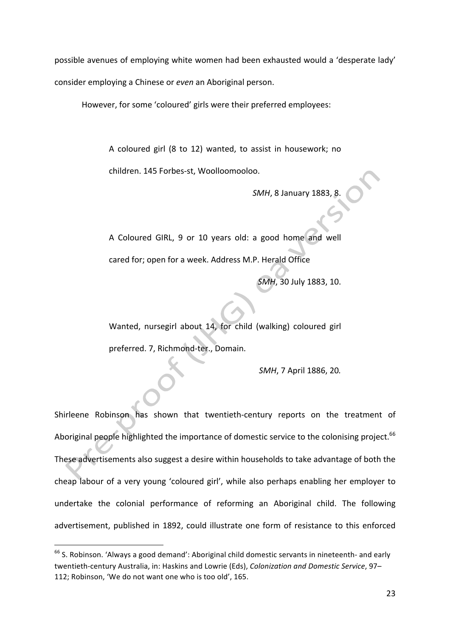possible avenues of employing white women had been exhausted would a 'desperate lady' consider employing a Chinese or *even* an Aboriginal person.

However, for some 'coloured' girls were their preferred employees:

A coloured girl (8 to 12) wanted, to assist in housework; no children. 145 Forbes-st, Woolloomooloo.

**SMH, 8 January 1883, 8.** 

A Coloured GIRL, 9 or 10 years old: a good home and well cared for; open for a week. Address M.P. Herald Office

*SMH*, 30 July 1883, 10.

Wanted, nursegirl about 14, for child (walking) coloured girl preferred. 7, Richmond-ter., Domain.

*SMH*, 7 April 1886, 20.

Shirleene Robinson has shown that twentieth-century reports on the treatment of Aboriginal people highlighted the importance of domestic service to the colonising project.<sup>66</sup> These advertisements also suggest a desire within households to take advantage of both the cheap labour of a very young 'coloured girl', while also perhaps enabling her employer to undertake the colonial performance of reforming an Aboriginal child. The following advertisement, published in 1892, could illustrate one form of resistance to this enforced

 $66$  S. Robinson. 'Always a good demand': Aboriginal child domestic servants in nineteenth- and early twentieth-century Australia, in: Haskins and Lowrie (Eds), *Colonization and Domestic Service*, 97-112; Robinson, 'We do not want one who is too old', 165.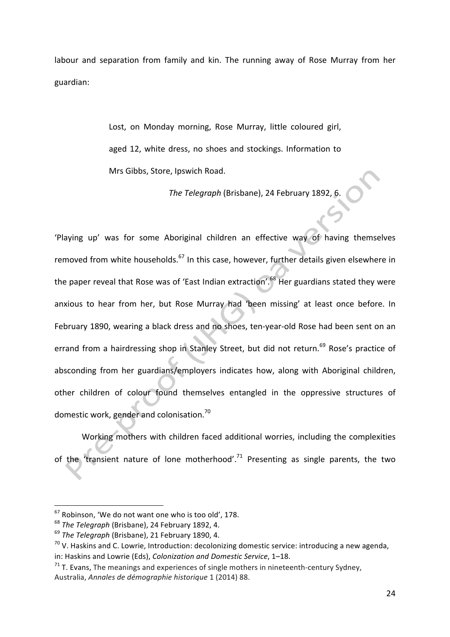labour and separation from family and kin. The running away of Rose Murray from her guardian:

> Lost, on Monday morning, Rose Murray, little coloured girl, aged 12, white dress, no shoes and stockings. Information to Mrs Gibbs, Store, Ipswich Road.

> > The Telegraph (Brisbane), 24 February 1892, 6.

'Playing up' was for some Aboriginal children an effective way of having themselves removed from white households.<sup>67</sup> In this case, however, further details given elsewhere in the paper reveal that Rose was of 'East Indian extraction'.<sup>68</sup> Her guardians stated they were anxious to hear from her, but Rose Murray had 'been missing' at least once before. In February 1890, wearing a black dress and no shoes, ten-year-old Rose had been sent on an errand from a hairdressing shop in Stanley Street, but did not return.<sup>69</sup> Rose's practice of absconding from her guardians/employers indicates how, along with Aboriginal children, other children of colour found themselves entangled in the oppressive structures of domestic work, gender and colonisation.<sup>70</sup>

Working mothers with children faced additional worries, including the complexities of the 'transient nature of lone motherhood'.<sup>71</sup> Presenting as single parents, the two

 $67$  Robinson, 'We do not want one who is too old', 178.

<sup>&</sup>lt;sup>68</sup> The Telegraph (Brisbane), 24 February 1892, 4.

<sup>&</sup>lt;sup>69</sup> The Telegraph (Brisbane), 21 February 1890, 4.

 $70$  V. Haskins and C. Lowrie, Introduction: decolonizing domestic service: introducing a new agenda, in: Haskins and Lowrie (Eds), *Colonization and Domestic Service*, 1-18.

 $71$  T. Evans, The meanings and experiences of single mothers in nineteenth-century Sydney, Australia, *Annales de démographie historique* 1 (2014) 88.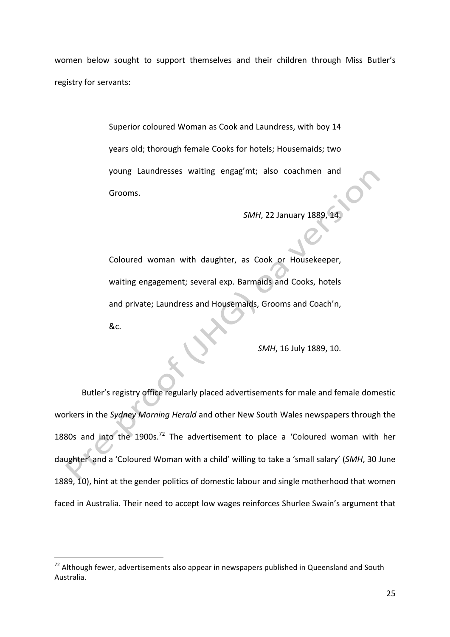women below sought to support themselves and their children through Miss Butler's registry for servants:

> Superior coloured Woman as Cook and Laundress, with boy 14 years old; thorough female Cooks for hotels; Housemaids; two young Laundresses waiting engag'mt; also coachmen and Grooms.

> > *SMH*, 22 January 1889, 14.

Coloured woman with daughter, as Cook or Housekeeper, waiting engagement; several exp. Barmaids and Cooks, hotels and private; Laundress and Housemaids, Grooms and Coach'n, &c.

*SMH*, 16 July 1889, 10.

Butler's registry office regularly placed advertisements for male and female domestic workers in the *Sydney Morning Herald* and other New South Wales newspapers through the 1880s and into the 1900s.<sup>72</sup> The advertisement to place a 'Coloured woman with her daughter' and a 'Coloured Woman with a child' willing to take a 'small salary' (SMH, 30 June 1889, 10), hint at the gender politics of domestic labour and single motherhood that women faced in Australia. Their need to accept low wages reinforces Shurlee Swain's argument that

 

 $72$  Although fewer, advertisements also appear in newspapers published in Queensland and South Australia.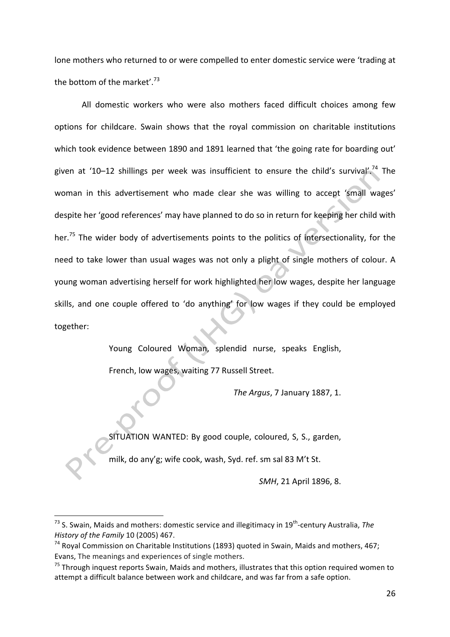lone mothers who returned to or were compelled to enter domestic service were 'trading at the bottom of the market'.<sup>73</sup>

All domestic workers who were also mothers faced difficult choices among few options for childcare. Swain shows that the royal commission on charitable institutions which took evidence between 1890 and 1891 learned that 'the going rate for boarding out' given at '10–12 shillings per week was insufficient to ensure the child's survival'.<sup>74</sup> The woman in this advertisement who made clear she was willing to accept 'small wages' despite her 'good references' may have planned to do so in return for keeping her child with her.<sup>75</sup> The wider body of advertisements points to the politics of intersectionality, for the need to take lower than usual wages was not only a plight of single mothers of colour. A young woman advertising herself for work highlighted her low wages, despite her language skills, and one couple offered to 'do anything' for low wages if they could be employed together: 

Young Coloured Woman, splendid nurse, speaks English,

French, low wages, waiting 77 Russell Street.

*The Argus*, 7 January 1887, 1.

SITUATION WANTED: By good couple, coloured, S, S., garden,

milk, do any'g; wife cook, wash, Syd. ref. sm sal 83 M't St.

*SMH*, 21 April 1896, 8.

<sup>&</sup>lt;sup>73</sup> S. Swain, Maids and mothers: domestic service and illegitimacy in 19<sup>th</sup>-century Australia, *The History of the Family* 10 (2005) 467.

 $74$  Royal Commission on Charitable Institutions (1893) quoted in Swain, Maids and mothers, 467; Evans, The meanings and experiences of single mothers.

 $75$  Through inquest reports Swain, Maids and mothers, illustrates that this option required women to attempt a difficult balance between work and childcare, and was far from a safe option.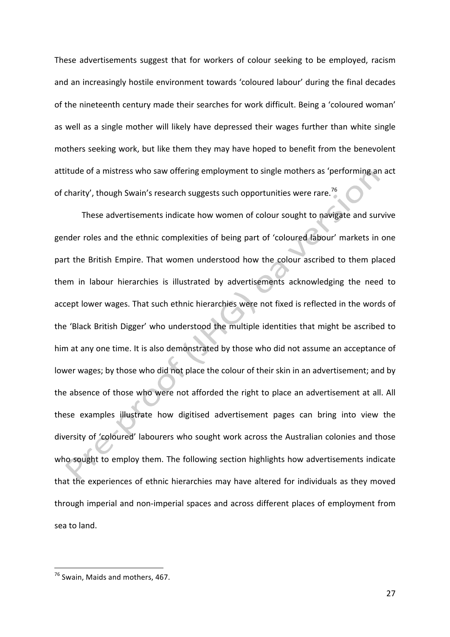These advertisements suggest that for workers of colour seeking to be employed, racism and an increasingly hostile environment towards 'coloured labour' during the final decades of the nineteenth century made their searches for work difficult. Being a 'coloured woman' as well as a single mother will likely have depressed their wages further than white single mothers seeking work, but like them they may have hoped to benefit from the benevolent attitude of a mistress who saw offering employment to single mothers as 'performing an act of charity', though Swain's research suggests such opportunities were rare.<sup>76</sup>

These advertisements indicate how women of colour sought to navigate and survive gender roles and the ethnic complexities of being part of 'coloured labour' markets in one part the British Empire. That women understood how the colour ascribed to them placed them in labour hierarchies is illustrated by advertisements acknowledging the need to accept lower wages. That such ethnic hierarchies were not fixed is reflected in the words of the 'Black British Digger' who understood the multiple identities that might be ascribed to him at any one time. It is also demonstrated by those who did not assume an acceptance of lower wages; by those who did not place the colour of their skin in an advertisement; and by the absence of those who were not afforded the right to place an advertisement at all. All these examples illustrate how digitised advertisement pages can bring into view the diversity of 'coloured' labourers who sought work across the Australian colonies and those who sought to employ them. The following section highlights how advertisements indicate that the experiences of ethnic hierarchies may have altered for individuals as they moved through imperial and non-imperial spaces and across different places of employment from sea to land.

<sup>&</sup>lt;u> 1989 - Johann Barn, mars ann an t-Amhain an t-Amhain an t-Amhain an t-Amhain an t-Amhain an t-Amhain an t-Amh</u>  $76$  Swain, Maids and mothers, 467.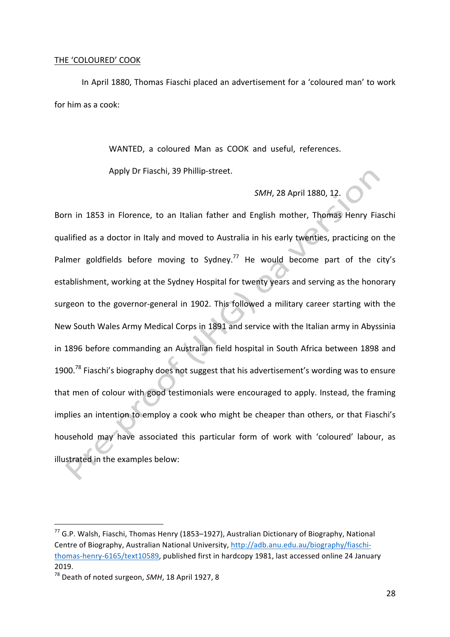#### THE 'COLOURED' COOK

In April 1880, Thomas Fiaschi placed an advertisement for a 'coloured man' to work for him as a cook:

WANTED, a coloured Man as COOK and useful, references.

Apply Dr Fiaschi, 39 Phillip-street.

# *SMH*, 28 April 1880, 12.

Born in 1853 in Florence, to an Italian father and English mother, Thomas Henry Fiaschi qualified as a doctor in Italy and moved to Australia in his early twenties, practicing on the Palmer goldfields before moving to Sydney.<sup>77</sup> He would become part of the city's establishment, working at the Sydney Hospital for twenty years and serving as the honorary surgeon to the governor-general in 1902. This followed a military career starting with the New South Wales Army Medical Corps in 1891 and service with the Italian army in Abyssinia in 1896 before commanding an Australian field hospital in South Africa between 1898 and 1900.<sup>78</sup> Fiaschi's biography does not suggest that his advertisement's wording was to ensure that men of colour with good testimonials were encouraged to apply. Instead, the framing implies an intention to employ a cook who might be cheaper than others, or that Fiaschi's household may have associated this particular form of work with 'coloured' labour, as illustrated in the examples below:

 $^{77}$  G.P. Walsh, Fiaschi, Thomas Henry (1853–1927), Australian Dictionary of Biography, National Centre of Biography, Australian National University, http://adb.anu.edu.au/biography/fiaschithomas-henry-6165/text10589, published first in hardcopy 1981, last accessed online 24 January 2019.

<sup>&</sup>lt;sup>78</sup> Death of noted surgeon, *SMH*, 18 April 1927, 8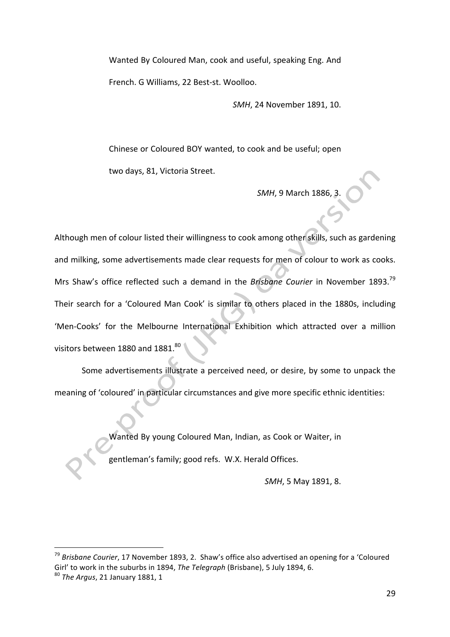Wanted By Coloured Man, cook and useful, speaking Eng. And French. G Williams, 22 Best-st. Woolloo.

*SMH*, 24 November 1891, 10.

Chinese or Coloured BOY wanted, to cook and be useful; open two days, 81, Victoria Street.

*SMH*, 9 March 1886, 3.

Although men of colour listed their willingness to cook among other skills, such as gardening and milking, some advertisements made clear requests for men of colour to work as cooks. Mrs Shaw's office reflected such a demand in the *Brisbane Courier* in November 1893.<sup>79</sup> Their search for a 'Coloured Man Cook' is similar to others placed in the 1880s, including 'Men-Cooks' for the Melbourne International Exhibition which attracted over a million visitors between 1880 and 1881.<sup>80</sup>

Some advertisements illustrate a perceived need, or desire, by some to unpack the meaning of 'coloured' in particular circumstances and give more specific ethnic identities:

Wanted By young Coloured Man, Indian, as Cook or Waiter, in

gentleman's family; good refs. W.X. Herald Offices.

*SMH*, 5 May 1891, 8.

<sup>79</sup> Brisbane Courier, 17 November 1893, 2. Shaw's office also advertised an opening for a 'Coloured Girl' to work in the suburbs in 1894, *The Telegraph* (Brisbane), 5 July 1894, 6.

<sup>&</sup>lt;sup>80</sup> *The Argus*, 21 January 1881, 1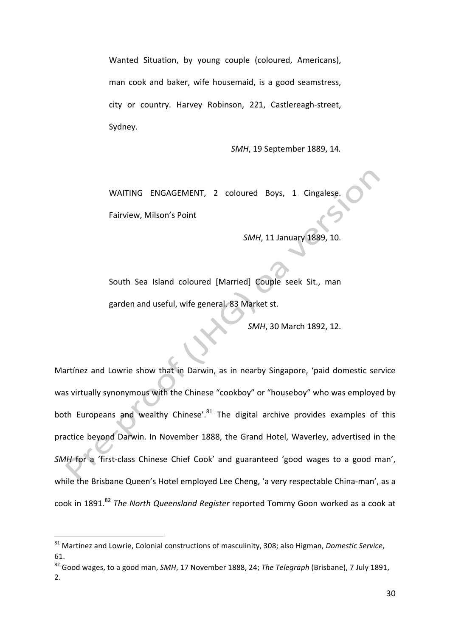Wanted Situation, by young couple (coloured, Americans), man cook and baker, wife housemaid, is a good seamstress, city or country. Harvey Robinson, 221, Castlereagh-street, Sydney.

*SMH*, 19 September 1889, 14*.*

WAITING ENGAGEMENT, 2 coloured Boys, 1 Cingalese Fairview, Milson's Point

**SMH, 11 January 1889, 10.** 

South Sea Island coloured [Married] Couple seek Sit., man garden and useful, wife general. 83 Market st.

*SMH*, 30 March 1892, 12.

Martínez and Lowrie show that in Darwin, as in nearby Singapore, 'paid domestic service was virtually synonymous with the Chinese "cookboy" or "houseboy" who was employed by both Europeans and wealthy Chinese'. $81$  The digital archive provides examples of this practice beyond Darwin. In November 1888, the Grand Hotel, Waverley, advertised in the *SMH* for a 'first-class Chinese Chief Cook' and guaranteed 'good wages to a good man', while the Brisbane Queen's Hotel employed Lee Cheng, 'a very respectable China-man', as a cook in 1891.<sup>82</sup> *The North Queensland Register* reported Tommy Goon worked as a cook at

<sup>&</sup>lt;sup>81</sup> Martínez and Lowrie, Colonial constructions of masculinity, 308; also Higman, *Domestic Service*, 61.

<sup>&</sup>lt;sup>82</sup> Good wages, to a good man, *SMH*, 17 November 1888, 24; *The Telegraph* (Brisbane), 7 July 1891, 2.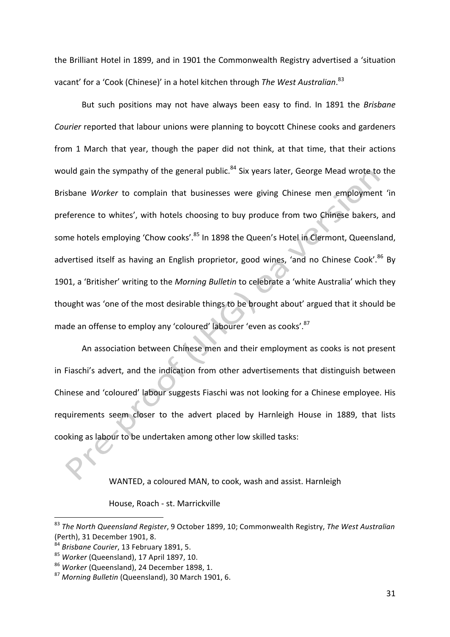the Brilliant Hotel in 1899, and in 1901 the Commonwealth Registry advertised a 'situation vacant' for a 'Cook (Chinese)' in a hotel kitchen through *The West Australian*.<sup>83</sup>

But such positions may not have always been easy to find. In 1891 the *Brisbane Courier* reported that labour unions were planning to boycott Chinese cooks and gardeners from 1 March that year, though the paper did not think, at that time, that their actions would gain the sympathy of the general public.<sup>84</sup> Six years later, George Mead wrote to the Brisbane Worker to complain that businesses were giving Chinese men employment 'in preference to whites', with hotels choosing to buy produce from two Chinese bakers, and some hotels employing 'Chow cooks'.<sup>85</sup> In 1898 the Queen's Hotel in Clermont, Queensland, advertised itself as having an English proprietor, good wines, 'and no Chinese Cook'.<sup>86</sup> By 1901, a 'Britisher' writing to the *Morning Bulletin* to celebrate a 'white Australia' which they thought was 'one of the most desirable things to be brought about' argued that it should be made an offense to employ any 'coloured' labourer 'even as cooks'.<sup>87</sup>

An association between Chinese men and their employment as cooks is not present in Fiaschi's advert, and the indication from other advertisements that distinguish between Chinese and 'coloured' labour suggests Fiaschi was not looking for a Chinese employee. His requirements seem closer to the advert placed by Harnleigh House in 1889, that lists cooking as labour to be undertaken among other low skilled tasks:

WANTED, a coloured MAN, to cook, wash and assist. Harnleigh

House, Roach - st. Marrickville

<sup>&</sup>lt;sup>83</sup> The North Queensland Register, 9 October 1899, 10; Commonwealth Registry, The West Australian (Perth), 31 December 1901, 8.

<sup>&</sup>lt;sup>84</sup> Brisbane Courier, 13 February 1891, 5.

<sup>&</sup>lt;sup>85</sup> Worker (Queensland), 17 April 1897, 10.

<sup>&</sup>lt;sup>86</sup> Worker (Queensland), 24 December 1898, 1.

<sup>&</sup>lt;sup>87</sup> Morning Bulletin (Queensland), 30 March 1901, 6.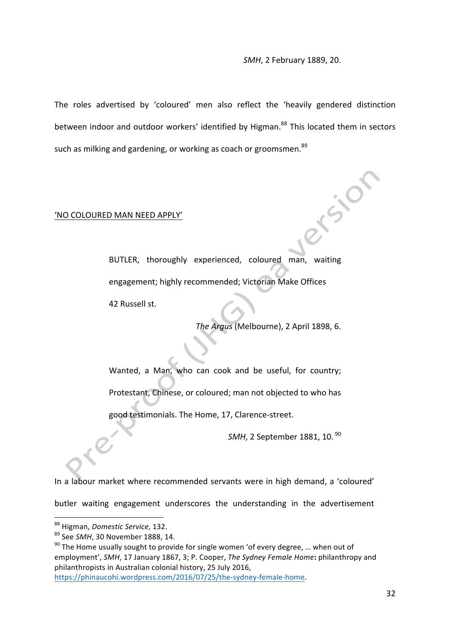#### **SMH, 2 February 1889, 20.**

The roles advertised by 'coloured' men also reflect the 'heavily gendered distinction between indoor and outdoor workers' identified by Higman.<sup>88</sup> This located them in sectors such as milking and gardening, or working as coach or groomsmen.<sup>89</sup>

#### 'NO COLOURED MAN NEED APPLY'

BUTLER, thoroughly experienced, coloured man, waiting engagement; highly recommended; Victorian Make Offices 42 Russell st.

The Argus (Melbourne), 2 April 1898, 6.

Wanted, a Man, who can cook and be useful, for country: Protestant, Chinese, or coloured; man not objected to who has

good testimonials. The Home, 17, Clarence-street.

SMH, 2 September 1881, 10. <sup>90</sup>

In a labour market where recommended servants were in high demand, a 'coloured' butler waiting engagement underscores the understanding in the advertisement

https://phinaucohi.wordpress.com/2016/07/25/the-sydney-female-home. 

<sup>&</sup>lt;u> 1989 - Johann Barn, mars ann an t-Amhain an t-Amhain an t-Amhain an t-Amhain an t-Amhain an t-Amhain an t-Amh</u> 88 Higman, *Domestic Service*, 132.

<sup>&</sup>lt;sup>89</sup> See *SMH*, 30 November 1888, 14.

 $90$  The Home usually sought to provide for single women 'of every degree, ... when out of employment', SMH, 17 January 1867, 3; P. Cooper, *The Sydney Female Home*: philanthropy and philanthropists in Australian colonial history, 25 July 2016,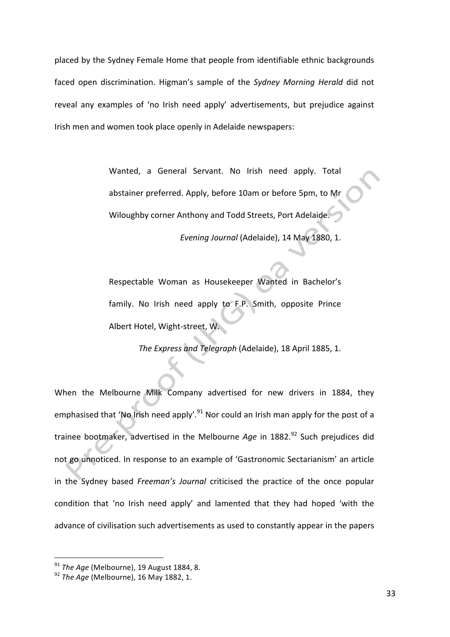placed by the Sydney Female Home that people from identifiable ethnic backgrounds faced open discrimination. Higman's sample of the *Sydney Morning Herald* did not reveal any examples of 'no Irish need apply' advertisements, but prejudice against Irish men and women took place openly in Adelaide newspapers:

> Wanted, a General Servant. No Irish need apply. Total abstainer preferred. Apply, before 10am or before 5pm, to Mr Wiloughby corner Anthony and Todd Streets, Port Adelaide.

> > *Evening Journal* (Adelaide), 14 May 1880, 1.

Respectable Woman as Housekeeper Wanted in Bachelor's family. No Irish need apply to F.P. Smith, opposite Prince Albert Hotel, Wight-street, W.

The Express and Telegraph (Adelaide), 18 April 1885, 1.

When the Melbourne Milk Company advertised for new drivers in 1884, they emphasised that 'No Irish need apply'.<sup>91</sup> Nor could an Irish man apply for the post of a trainee bootmaker, advertised in the Melbourne *Age* in 1882.<sup>92</sup> Such prejudices did not go unnoticed. In response to an example of 'Gastronomic Sectarianism' an article in the Sydney based *Freeman's Journal* criticised the practice of the once popular condition that 'no Irish need apply' and lamented that they had hoped 'with the advance of civilisation such advertisements as used to constantly appear in the papers

 

<sup>&</sup>lt;sup>91</sup> The Age (Melbourne), 19 August 1884, 8.

<sup>&</sup>lt;sup>92</sup> *The Age* (Melbourne), 16 May 1882, 1.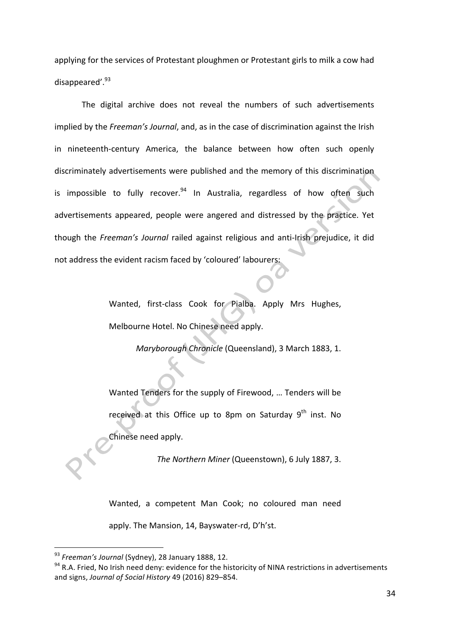applying for the services of Protestant ploughmen or Protestant girls to milk a cow had disappeared'.<sup>93</sup>

The digital archive does not reveal the numbers of such advertisements implied by the *Freeman's Journal*, and, as in the case of discrimination against the Irish in nineteenth-century America, the balance between how often such openly discriminately advertisements were published and the memory of this discrimination is impossible to fully recover. $94$  In Australia, regardless of how often such advertisements appeared, people were angered and distressed by the practice. Yet though the *Freeman's Journal* railed against religious and anti-Irish prejudice, it did not address the evident racism faced by 'coloured' labourers:

> Wanted, first-class Cook for Pialba. Apply Mrs Hughes, Melbourne Hotel. No Chinese need apply.

> > *Maryborough Chronicle* (Queensland), 3 March 1883, 1.

Wanted Tenders for the supply of Firewood, ... Tenders will be received at this Office up to 8pm on Saturday  $9<sup>th</sup>$  inst. No Chinese need apply.

The Northern Miner (Queenstown), 6 July 1887, 3.

Wanted, a competent Man Cook; no coloured man need apply. The Mansion, 14, Bayswater-rd, D'h'st.

<sup>&</sup>lt;sup>93</sup> Freeman's Journal (Sydney), 28 January 1888, 12.

 $94$  R.A. Fried, No Irish need deny: evidence for the historicity of NINA restrictions in advertisements and signs, *Journal of Social History* 49 (2016) 829-854.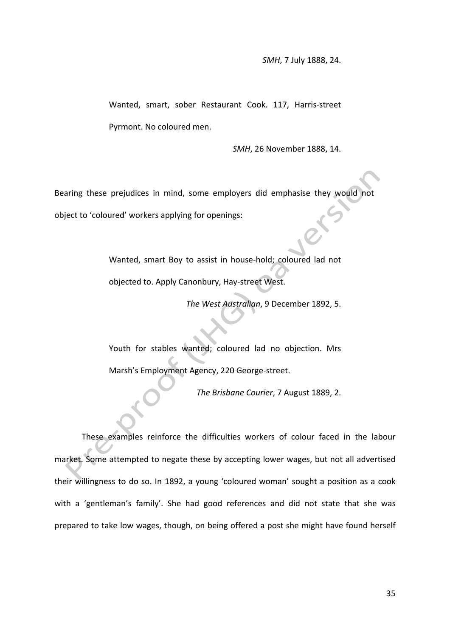Wanted, smart, sober Restaurant Cook. 117, Harris-street Pyrmont. No coloured men.

*SMH*, 26 November 1888, 14.

Bearing these prejudices in mind, some employers did emphasise they would not object to 'coloured' workers applying for openings:

> Wanted, smart Boy to assist in house-hold; coloured lad not objected to. Apply Canonbury, Hay-street West.

> > The West Australian, 9 December 1892, 5.

Youth for stables wanted; coloured lad no objection. Mrs Marsh's Employment Agency, 220 George-street.

The Brisbane Courier, 7 August 1889, 2.

These examples reinforce the difficulties workers of colour faced in the labour market. Some attempted to negate these by accepting lower wages, but not all advertised their willingness to do so. In 1892, a young 'coloured woman' sought a position as a cook with a 'gentleman's family'. She had good references and did not state that she was prepared to take low wages, though, on being offered a post she might have found herself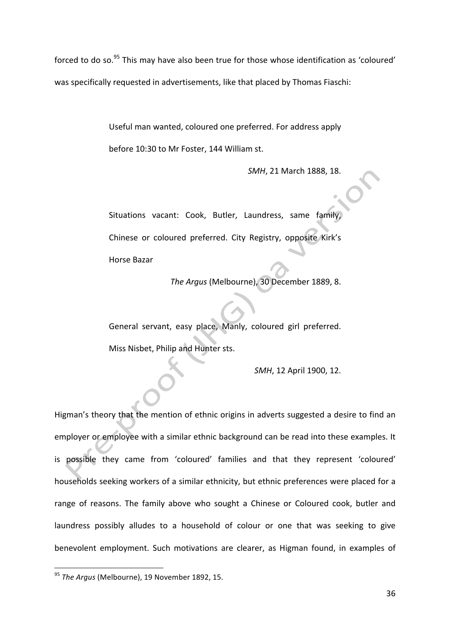forced to do so. $95$  This may have also been true for those whose identification as 'coloured' was specifically requested in advertisements, like that placed by Thomas Fiaschi:

> Useful man wanted, coloured one preferred. For address apply before 10:30 to Mr Foster, 144 William st.

> > **SMH, 21 March 1888, 18.**

Situations vacant: Cook, Butler, Laundress, same family, Chinese or coloured preferred. City Registry, opposite Kirk's Horse Bazar

The Argus (Melbourne), 30 December 1889, 8.

General servant, easy place, Manly, coloured girl preferred. Miss Nisbet, Philip and Hunter sts.

*SMH*, 12 April 1900, 12.

Higman's theory that the mention of ethnic origins in adverts suggested a desire to find an employer or employee with a similar ethnic background can be read into these examples. It is possible they came from 'coloured' families and that they represent 'coloured' households seeking workers of a similar ethnicity, but ethnic preferences were placed for a range of reasons. The family above who sought a Chinese or Coloured cook, butler and laundress possibly alludes to a household of colour or one that was seeking to give benevolent employment. Such motivations are clearer, as Higman found, in examples of

<sup>&</sup>lt;sup>95</sup> The Argus (Melbourne), 19 November 1892, 15.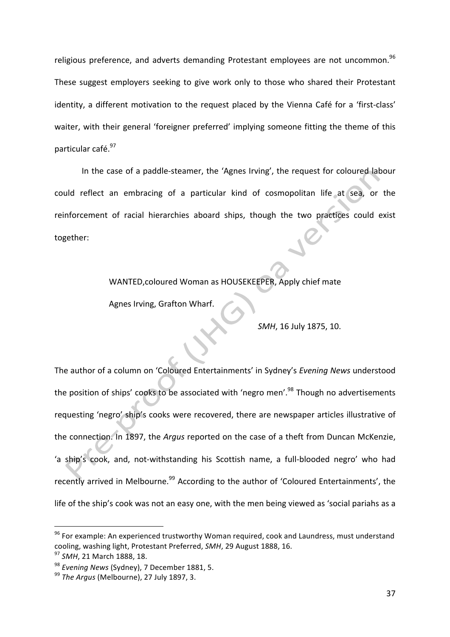religious preference, and adverts demanding Protestant emplovees are not uncommon.<sup>96</sup> These suggest employers seeking to give work only to those who shared their Protestant identity, a different motivation to the request placed by the Vienna Café for a 'first-class' waiter, with their general 'foreigner preferred' implying someone fitting the theme of this particular café.<sup>97</sup>

In the case of a paddle-steamer, the 'Agnes Irving', the request for coloured labour could reflect an embracing of a particular kind of cosmopolitan life at sea, or the reinforcement of racial hierarchies aboard ships, though the two practices could exist together:

WANTED, coloured Woman as HOUSEKEEPER, Apply chief mate

Agnes Irving, Grafton Wharf.

*SMH*, 16 July 1875, 10.

The author of a column on 'Coloured Entertainments' in Sydney's *Evening News* understood the position of ships' cooks to be associated with 'negro men'.<sup>98</sup> Though no advertisements requesting 'negro' ship's cooks were recovered, there are newspaper articles illustrative of the connection. In 1897, the *Argus* reported on the case of a theft from Duncan McKenzie, 'a ship's cook, and, not-withstanding his Scottish name, a full-blooded negro' who had recently arrived in Melbourne.<sup>99</sup> According to the author of 'Coloured Entertainments', the life of the ship's cook was not an easy one, with the men being viewed as 'social pariahs as a

<u> 1989 - Johann Barn, mars eta bainar eta industrial eta baina eta baina eta baina eta baina eta baina eta bain</u>

<sup>96</sup> For example: An experienced trustworthy Woman required, cook and Laundress, must understand cooling, washing light, Protestant Preferred, SMH, 29 August 1888, 16.

<sup>&</sup>lt;sup>97</sup> SMH, 21 March 1888, 18.

<sup>&</sup>lt;sup>98</sup> Evening News (Sydney), 7 December 1881, 5.

<sup>&</sup>lt;sup>99</sup> The Argus (Melbourne), 27 July 1897, 3.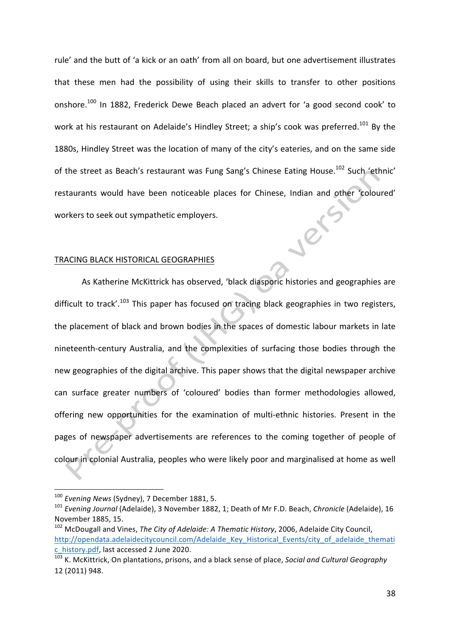rule' and the butt of 'a kick or an oath' from all on board, but one advertisement illustrates that these men had the possibility of using their skills to transfer to other positions onshore.<sup>100</sup> In 1882, Frederick Dewe Beach placed an advert for 'a good second cook' to work at his restaurant on Adelaide's Hindley Street; a ship's cook was preferred.<sup>101</sup> By the 1880s, Hindley Street was the location of many of the city's eateries, and on the same side of the street as Beach's restaurant was Fung Sang's Chinese Eating House.<sup>102</sup> Such 'ethnic' restaurants would have been noticeable places for Chinese, Indian and other 'coloured' er workers to seek out sympathetic employers.

## TRACING BLACK HISTORICAL GEOGRAPHIES

As Katherine McKittrick has observed, 'black diasporic histories and geographies are difficult to track'.<sup>103</sup> This paper has focused on tracing black geographies in two registers, the placement of black and brown bodies in the spaces of domestic labour markets in late nineteenth-century Australia, and the complexities of surfacing those bodies through the new geographies of the digital archive. This paper shows that the digital newspaper archive can surface greater numbers of 'coloured' bodies than former methodologies allowed, offering new opportunities for the examination of multi-ethnic histories. Present in the pages of newspaper advertisements are references to the coming together of people of colour in colonial Australia, peoples who were likely poor and marginalised at home as well

<sup>&</sup>lt;sup>100</sup> Evening News (Sydney), 7 December 1881, 5.

<sup>&</sup>lt;sup>101</sup> Evening Journal (Adelaide), 3 November 1882, 1; Death of Mr F.D. Beach, Chronicle (Adelaide), 16 November 1885, 15.

<sup>&</sup>lt;sup>102</sup> McDougall and Vines, *The City of Adelaide: A Thematic History*, 2006, Adelaide City Council, http://opendata.adelaidecitycouncil.com/Adelaide\_Key\_Historical\_Events/city\_of\_adelaide\_themati c\_history.pdf, last accessed 2 June 2020.

<sup>&</sup>lt;sup>103</sup> K. McKittrick, On plantations, prisons, and a black sense of place, *Social and Cultural Geography* 12 (2011) 948.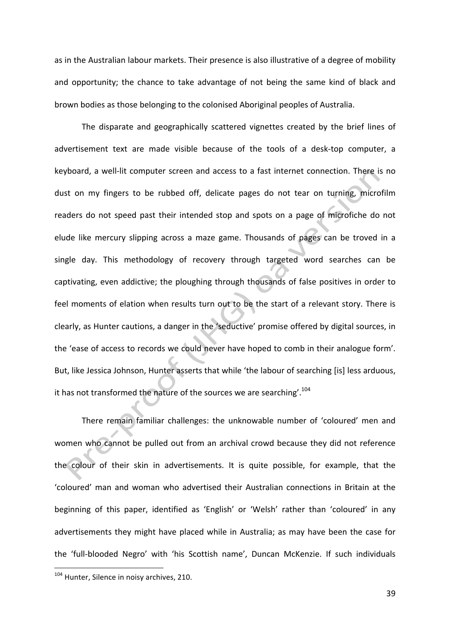as in the Australian labour markets. Their presence is also illustrative of a degree of mobility and opportunity; the chance to take advantage of not being the same kind of black and brown bodies as those belonging to the colonised Aboriginal peoples of Australia.

The disparate and geographically scattered vignettes created by the brief lines of advertisement text are made visible because of the tools of a desk-top computer, a keyboard, a well-lit computer screen and access to a fast internet connection. There is no dust on my fingers to be rubbed off, delicate pages do not tear on turning, microfilm readers do not speed past their intended stop and spots on a page of microfiche do not elude like mercury slipping across a maze game. Thousands of pages can be troved in a single day. This methodology of recovery through targeted word searches can be captivating, even addictive; the ploughing through thousands of false positives in order to feel moments of elation when results turn out to be the start of a relevant story. There is clearly, as Hunter cautions, a danger in the 'seductive' promise offered by digital sources, in the 'ease of access to records we could never have hoped to comb in their analogue form'. But, like Jessica Johnson, Hunter asserts that while 'the labour of searching [is] less arduous, it has not transformed the nature of the sources we are searching'.<sup>104</sup>

There remain familiar challenges: the unknowable number of 'coloured' men and women who cannot be pulled out from an archival crowd because they did not reference the colour of their skin in advertisements. It is quite possible, for example, that the 'coloured' man and woman who advertised their Australian connections in Britain at the beginning of this paper, identified as 'English' or 'Welsh' rather than 'coloured' in any advertisements they might have placed while in Australia; as may have been the case for the 'full-blooded Negro' with 'his Scottish name', Duncan McKenzie. If such individuals

<sup>&</sup>lt;sup>104</sup> Hunter, Silence in noisy archives, 210.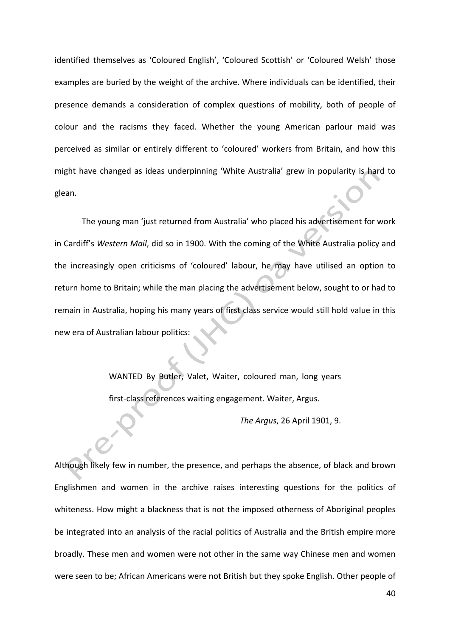identified themselves as 'Coloured English', 'Coloured Scottish' or 'Coloured Welsh' those examples are buried by the weight of the archive. Where individuals can be identified, their presence demands a consideration of complex questions of mobility, both of people of colour and the racisms they faced. Whether the young American parlour maid was perceived as similar or entirely different to 'coloured' workers from Britain, and how this might have changed as ideas underpinning 'White Australia' grew in popularity is hard to glean.

The young man 'just returned from Australia' who placed his advertisement for work in Cardiff's Western Mail, did so in 1900. With the coming of the White Australia policy and the increasingly open criticisms of 'coloured' labour, he may have utilised an option to return home to Britain; while the man placing the advertisement below, sought to or had to remain in Australia, hoping his many years of first class service would still hold value in this new era of Australian labour politics:

> WANTED By Butler, Valet, Waiter, coloured man, long years first-class references waiting engagement. Waiter, Argus.

> > *The Argus*, 26 April 1901, 9.

Although likely few in number, the presence, and perhaps the absence, of black and brown Englishmen and women in the archive raises interesting questions for the politics of whiteness. How might a blackness that is not the imposed otherness of Aboriginal peoples be integrated into an analysis of the racial politics of Australia and the British empire more broadly. These men and women were not other in the same way Chinese men and women were seen to be; African Americans were not British but they spoke English. Other people of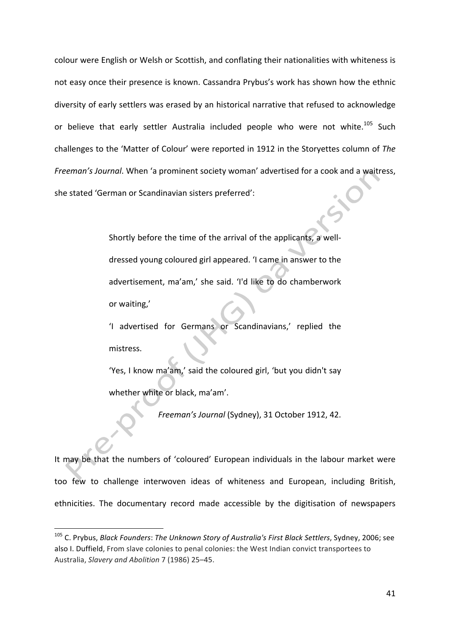colour were English or Welsh or Scottish, and conflating their nationalities with whiteness is not easy once their presence is known. Cassandra Prybus's work has shown how the ethnic diversity of early settlers was erased by an historical narrative that refused to acknowledge or believe that early settler Australia included people who were not white.<sup>105</sup> Such challenges to the 'Matter of Colour' were reported in 1912 in the Storyettes column of The *Freeman's Journal*. When 'a prominent society woman' advertised for a cook and a waitress, she stated 'German or Scandinavian sisters preferred':

> Shortly before the time of the arrival of the applicants, a welldressed young coloured girl appeared. 'I came in answer to the advertisement, ma'am,' she said. 'I'd like to do chamberwork or waiting,'

> 'I advertised for Germans or Scandinavians,' replied the mistress.

> 'Yes, I know ma'am,' said the coloured girl, 'but you didn't say whether white or black, ma'am'.

> > *Freeman's Journal (Sydney), 31 October 1912, 42.*

It may be that the numbers of 'coloured' European individuals in the labour market were too few to challenge interwoven ideas of whiteness and European, including British, ethnicities. The documentary record made accessible by the digitisation of newspapers

<sup>&</sup>lt;sup>105</sup> C. Prybus, *Black Founders*: *The Unknown Story of Australia's First Black Settlers*, Sydney, 2006; see also I. Duffield, From slave colonies to penal colonies: the West Indian convict transportees to Australia, *Slavery and Abolition* 7 (1986) 25–45.